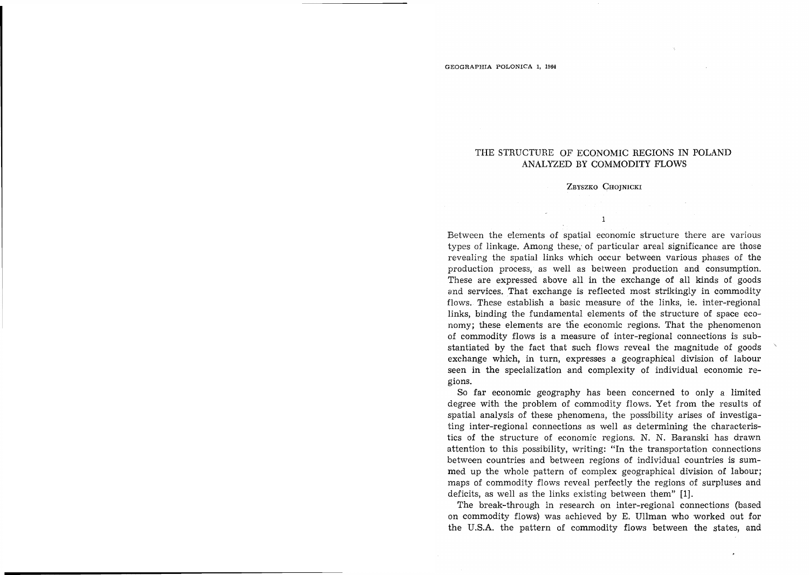# THE STRUCTURE OF ECONOMIC REGIONS IN POLAND ANALYZED BY COMMODITY FLOWS

# ZBYSZKO CHOJNICKI

 $\mathbf{1}$ 

Between the e'lements of spatial economic structure there are various types of linkage. Among these, of particular areal significance are those revealing the spatial links which occur between various phases of the production process, as well as between production and consumption. These are expressed above all in the exchange of all kinds of goods and services. That exchange is reflected most strikingly in commodity flows. These establish a basic measure of the links, ie. inter-regional links, binding the fundamental elements of the structure of space economy; these elements are the economic regions. That the phenomenon of commodity flows is a measure of inter-regional connections is substantiated by the fact that such flows reveal the magnitude of goods exchange which, in turn, expresses a geographical division of labour seen in the specialization and complexity of individual economic regions.

So far economic geography has been concerned to only a limited degree with the problem of commodity flows. Yet from the results of spatial analysis of these phenomena, the possibility arises of investigating inter-regional connections as well as determining the characteristics of the structure of economic regions. N. N. Baranski has drawn attention to this possibility, writing: "In the transportation connections between countries and between regions of individual countries is summed up the whole pattern of complex geographical division of labour; maps of commodity flows reveal perfectly the regions of surpluses and deficits, as well as the links existing between them" [1].

The break-through in research on inter-regional connections (based on commodity flows) was achieved by E. Ullman who worked out for the U.S.A. the pattern of commodity flows between the states, and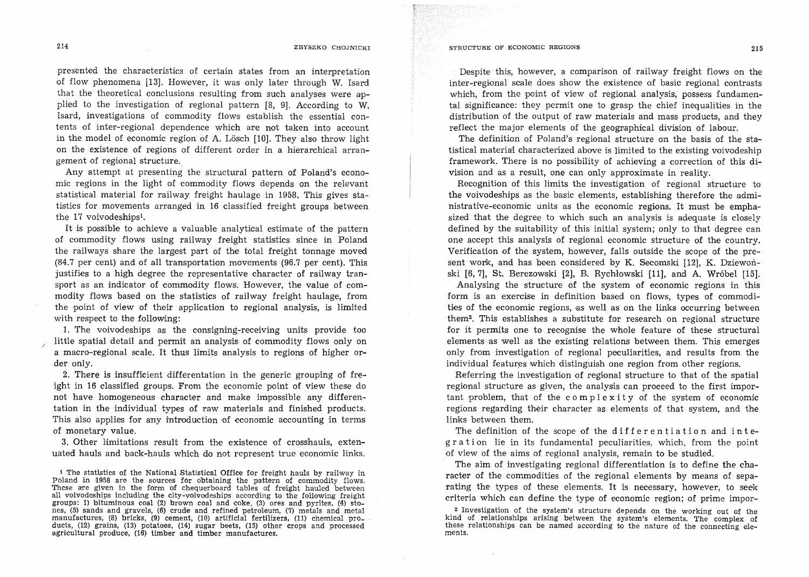presented the characteristics of certain states from an interpretation of flow phenomena [13]. However, it was only later through W. Isard that the theoretical conclusions resulting from such analyses were applied to the investigation of regional pattern [8, 9]. According to W. Isard, investigations of commodity flows establish the essential contents of inter-regional dependence which are not taken into account in the model of economic region of A. Lösch [10]. They also throw light on the existence of regions of different order in a hierarchical arrangement of regional structure.

Any attempt at presenting the structural pattern of Poland's economic regions in the light of commodity flows depends on the relevant statistical material for railway freight haulage in 1958. This gives statistics for movements arranged in 16 classified freight groups between the 17 voivodeships<sup>1</sup>.

It is possible to achieve a valuable analytical estimate of the pattern of commodity flows using railway freight statistics since in Poland the railways share the largest part of the total freight tonnage moved  $(84.7 \text{ per cent})$  and of all transportation movements  $(96.7 \text{ per cent})$ . This justifies to a high degree the representative character of railway transport as an indicator of commodity flows. However, the value of commodity flows based on the statistics of railway freight haulage, from the point of view of their application to regional analysis, is limited with respect to the following:

1. The voivodeships as the consigning-receiving units provide too little spatial detail and permit an analysis of commodity flows only on a macro-regional scale. It thus limits analysis to regions of higher order only.

2. There is insufficient differentation in the generic grouping of freight in 16 classified groups. From the economic point of view these do not have homogeneous character and make impossible any differentation in the individual types of raw materials and finished products. This also applies for any introduction of economic accounting in terms of monetary value.

3. Other limitations result from the existence of crosshauls, extenuated hauls and back-hauls which do not represent true economic links.

 $\cdot$  1 The statistics of the National Statistical Office for freight hauls by railway in Poland in 1958 are the sources for obtaining the pattern of commodity flows. These are given in the form of chequerboard tables of freight hauled between all voivodeships including the city-voivodeships according to the following freight groups: 1) bituminous coal (2) brown coal and coke,  $(3)$  ores and pyrites,  $(4)$  stones, (5) sands and gravels, (6) crude and refined petroleum, (7) metals and metal manufactures, (8) bricks, (9) cement, (10) artificial fertilizers, (11) chemical products,  $(12)$  grains,  $(13)$  potatoes,  $(14)$  sugar beets,  $(15)$  other crops and processed agricultural produce, (16) timber and timber manufactures.

Despite this, however, a comparison of railway freight flows on the inter-regional scale does show the existence of basic regional contrasts which, from the point of view of regional analysis, possess fundamental significance: they permit one to grasp the chief inequalities in the distribution of the output of raw materials and mass products, and they reflect the major elements of the geographical division of labour.

The definition of Poland's regional structure on the basis of the statistical materia1 1 characterized above is limited to the existing voivodeship framework. There is no possibility of achieving a correction of this division and as a result, one can only approximate in reality.

Recognition of this limits the investigation of regional structure to the voivodeships as the basic elements, establishing therefore the administrative-economic units as the economic regions. It must be emphasized that the degree to which such an analysis is adequate is closely defined by the suitability of this initial system; only to that degree can one accept this analysis of regional economic structure of the country. Verification of the system, however, falls outside the scope of the present work, and has been considered by K. Secomski [12], K. Dziewoński [6, 7], St. Berezowski [2], B. Rychlowski [11], and A. Wr6bel [15].

Analysing the structure of the system of economic regions in this form is an exercise in definition based on flows, types of commodities of the economic regions, as well as on the links occurring between them2• This establishes a substitute for research on regional structure for it permits one to recognise the whole feature of these structural elements as well as the existing relations between them. This emerges only from investigation of regional peculiarities, and results from the individual features which distinguish one region from other regions.

Referring the investigation of regional structure to that of the spatial regional structure as given, the analysis can proceed to the first important problem, that of the c omplexity of the system of economic regions regarding their character as elements of that system, and the links between them.

The definition of the scope of the differentiation and integ ration lie in its fundamental peculiarities, which, from the point of view of the aims of regional analysis, remain to be studied.

The aim of investigating regional differentiation is to define the character of the commodities of the regional elements by means of separating the types of these elements. It is necessary, however, to seek criteria which can define the type of economic region; of prime impor-

<sup>2</sup> Investigation of the system's structure depends on the working out of the kind of relationships arising between the system's elements. The complex of these relationships can be named according to the nature of the connecting elements.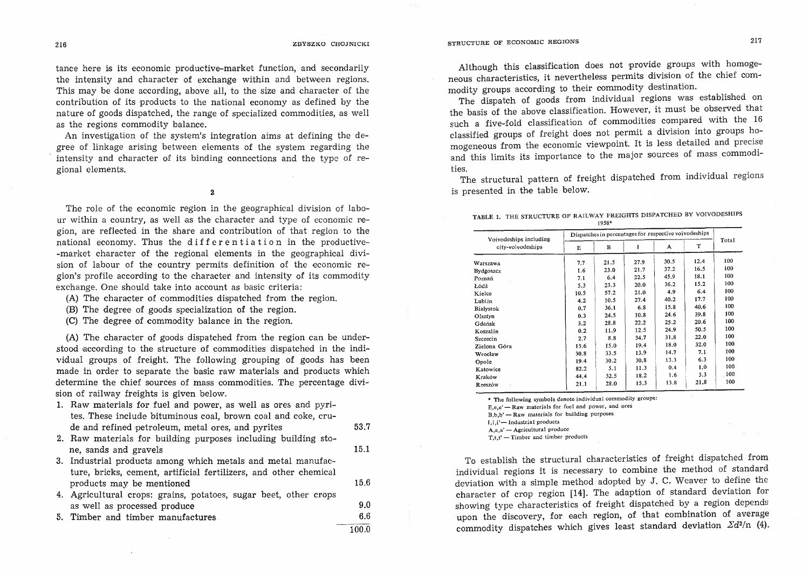tance here is its economic productive-market function, and secondarily the intensity and character of exchange within and between regions. This may be done according, above all, to the size and character of the contribution of its products to the national economy as defined by the nature of goods dispatched, the range of specialized commodities, as well as the regions commodity balance.

An investigation of the system's integration aims at defining the degree of linkage arising between elements of the system regarding the intensity and character of its binding connections and the type of regional elements.

2

The role of the economic region in the geographical division of labour within a country, as well as the character and type of economic region, are reflected in the share and contribution of that region to the national economy. Thus the differentiation in the productive--market character of the regional elements in the geographical division of labour of the country permits definition of the economic region's profile according to the character and intensity of its commodity exchange. One should take into account as basic criteria:

- (A) The character of commodities dispatched from the region.
- (B) The degree of goods specialization of the region.
- (C) The degree of commodity balance in the region.

(A) The character of goods dispatched from the region can be understood according to the structure of commodities dispatched in the individual groups of freight. The following grouping of goods has been made in order to separate the basic raw materials and products which determine the chief sources of mass commodities. The percentage division of railway freights is given below.

- 1. Raw materials for fuel and power, as well as ores and pyrites. These include bituminous coal, brown coal and coke, crude and refined petroleum, metal ores, and pyrites 53.7
- 2. Raw materials for building purposes including building stone, sands and gravels 15.1
- 3. Industrial products among which metals and metal manufacture, bricks, cement, artificial fertilizers, and other chemical products may be mentioned 15.6
- 4. Agricultural crops: grains, potatoes, sugar beet, other crops as well as processed produce 9.0 5. Timber and timber manufactures. 6.6
	- 100.0

Although this classification does not provide groups with homogeneous characteristics, it nevertheless permits division of the chief commodity groups according to their commodity destination.

The dispatch of goods from individual regions was established on the basis of the above classification. However, it must be observed that such a five-fold classification of commodities compared with the 16 classified groups of freight does not permit a division into groups homogeneous from the economic viewpoint. It is less detailed and precise and this limits its importance to the major sources of mass commodities.

The structural pattern of freight dispatched from individual regions is presented in the table below.

| TABLE 1. THE STRUCTURE OF RAILWAY FREIGHTS DISPATCHED BY VOIVODESHIP. |       |  |  |
|-----------------------------------------------------------------------|-------|--|--|
|                                                                       | 1958* |  |  |

| Voivodeships including |      | Dispatches in percentages for respective voivodeships |      |      |      |       |  |  |  |
|------------------------|------|-------------------------------------------------------|------|------|------|-------|--|--|--|
| city-voivodeships      | Е    | в                                                     | 1    | A    | T    | Total |  |  |  |
| Warszawa               | 7.7  | 21.5                                                  | 27.9 | 30.5 | 12.4 | 100   |  |  |  |
| Bydgoszcz              | 1.6  | 23.0                                                  | 21.7 | 37.2 | 16.5 | 100   |  |  |  |
| Poznań                 | 7.1  | 6.4                                                   | 22.5 | 45.9 | 18.1 | 100   |  |  |  |
| Łódź                   | 5.3  | 23.3                                                  | 20.0 | 36.2 | 15.2 | 100   |  |  |  |
| Kielce                 | 10.5 | 57.2                                                  | 21.0 | 4.9  | 6.4  | 100   |  |  |  |
| Lublin                 | 4.2  | 10.5                                                  | 27.4 | 40.2 | 17.7 | 100   |  |  |  |
| Białystok              | 0.7  | 36.1                                                  | 6.8  | 15.8 | 40.6 | 100   |  |  |  |
| Olsztyn                | 0.3  | 24.5                                                  | 10.8 | 24.6 | 39.8 | 100   |  |  |  |
| Gdańsk                 | 3,2  | 28.8                                                  | 22.2 | 25.2 | 20.6 | 100   |  |  |  |
| Koszalin               | 0.2  | 11.9                                                  | 12.5 | 24.9 | 50.5 | 100   |  |  |  |
| Szczecin               | 2.7  | 8.8                                                   | 34.7 | 31.8 | 22.0 | 100   |  |  |  |
| Zielona Góra           | 15.6 | 15.0                                                  | 19.4 | 18.0 | 32.0 | 100   |  |  |  |
| Wrocław                | 30.8 | 33.5                                                  | 13.9 | 14.7 | 7.1  | 100   |  |  |  |
| Opole                  | 19.4 | 30.2                                                  | 30.8 | 13.3 | 6.3  | 100   |  |  |  |
| Katowice               | 82.2 | 5.1                                                   | 11.3 | 0.4  | 1.0  | 100   |  |  |  |
| Krakow                 | 44.4 | 32.5                                                  | 18.2 | 1.6  | 3.3  | 100   |  |  |  |
| Rzeszów                | 21.1 | 28.0                                                  | 15.3 | 13.8 | 21.8 | 100   |  |  |  |

\* The following symbols denote individual commodity groups:

E,e,e' - Raw materials for fuel and power, and ores

 $B, b, b'$  - Raw materials for building purposes

 $I_i$ ,  $i'$  - Industrial products  $A$ ,a,a'  $-$  Agricultural produce

 $T_{\cdot}t_{\cdot}t'$  - Timber and timber products

To establish the structural characteristics of freight dispatched from individual regions it is necessary to combine the method of standard deviation with a simple method adopted by J. C. Weaver to define the character of crop region [14]. The adaption of standard deviation for showing type characteristics of freight dispatched by a region depends upon the discovery, for each region, of that combination of average commodity dispatches which gives least standard deviation  $\mathbb{Z}d^{2}/n$  (4).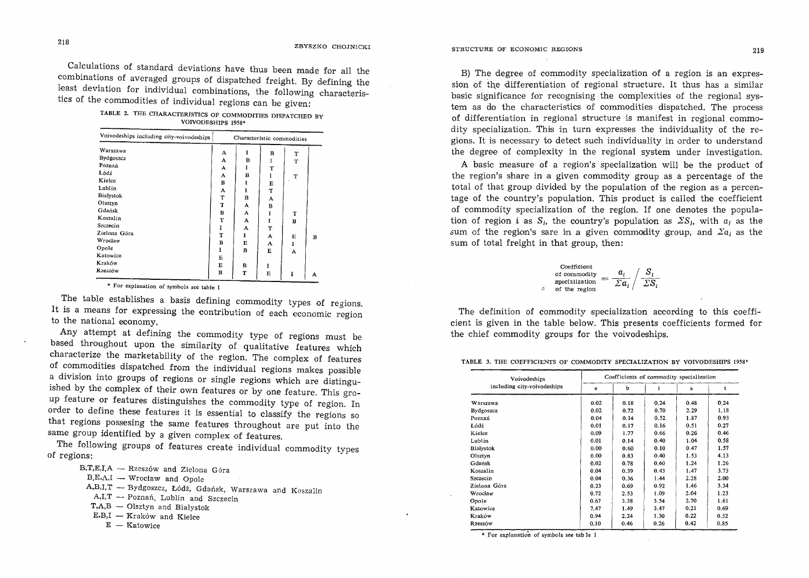Calculations of standard deviations have thus been made for all the combinations of averaged groups of dispatched freight. By defining the least deviation for individual combinations, the following characteristics of the commodities of individual regions can be given:

TABLE 2. THE CHARACTERISTICS OF COMMODITIES DISPATCHED BY VOIVODESHIPS 1958\*

| Voivodeships including city-voivodeships |              | Characteristic commodities |   |   |   |  |  |  |  |
|------------------------------------------|--------------|----------------------------|---|---|---|--|--|--|--|
| Warszawa                                 | A            | I                          | в | т |   |  |  |  |  |
| Bydgoszcz                                | A            | B                          | 1 | T |   |  |  |  |  |
| Poznań                                   | А            | I                          | т |   |   |  |  |  |  |
| Łódź                                     | А            | в                          | I | T |   |  |  |  |  |
| Kielce                                   | в            | I                          | Е |   |   |  |  |  |  |
| Lublin                                   | А            | I                          | T |   |   |  |  |  |  |
| Białystok                                | T            | B                          | A |   |   |  |  |  |  |
| Olsztyn                                  | T            | A                          | в |   |   |  |  |  |  |
| Gdańsk                                   | $\, {\bf B}$ | A                          | I | T |   |  |  |  |  |
| Koszalin                                 | т            | A                          | 1 | в |   |  |  |  |  |
| Szczecin                                 | 1            | А                          | T |   |   |  |  |  |  |
| Zielona Góra                             | T            | I                          | A | Е | B |  |  |  |  |
| Wrocław                                  | B            | Е                          | A | I |   |  |  |  |  |
| Opole                                    | I            | в                          | Е | A |   |  |  |  |  |
| Katowice                                 | Е            |                            |   |   |   |  |  |  |  |
| Kraków                                   | Е            | в                          | 1 |   |   |  |  |  |  |
| Rzeszów                                  | в            | т                          | E | I | А |  |  |  |  |

\* For explanation of symbols see table 1

The table establishes a basis defining commodity types of regions. It is a means for expressing the contribution of each economic region to the national economy.

Any attempt at defining the commodity type of regions must be based throughout upon the similarity of qualitative features which characterize the marketability of the region. The complex of features of commodities dispatched from the individual regions makes possible a division into groups of regions or single regions which are distinguished by the complex of their own features or by one feature. This group feature or features distinguishes the commodity type of region. In order to define these features it is essential to classify the regions so that regions possesing the same features throughout are put into the same group identified by a given complex of features.

The following groups of features create individual commodity types of regions:

 $B, T, E, I, A$  - Rzeszów and Zielona Góra

 $B.E.A,I \tightharpoonup Wrocław and Opole$ 

- A,B,I,T Bydgoszcz, Łódź, Gdańsk, Warszawa and Koszalin
- $A,I,T$  Poznań, Lublin and Szczecin

T,A,B - Olsztyn and Białystok

 $E,B,I -$ Kraków and Kielce

 $E -$ Katowice

B) The degree of commodity specialization of a region is an expression of the differentiation of regional structure. It thus has a similar basic significance for recognising the complexities of the regional system as do the characteristics of commodities dispatched. The process of differentiation in regional structure is manifest in regional commodity specialization. This in turn expresses the individuality of the regions. It is necessary to detect such individuality in order to understand the degree of complexity in the regional system under investigation.

A basic measure of a region's specialization will be the product of the region's share in a given commodity group as a percentage of the total of that group divided by the population of the region as a percentage of the country's population. This product is called the coefficient of commodity specialization of the region. If one denotes the population of region *i* as  $S_i$ , the country's population as  $\sum S_i$ , with  $a_i$  as the sum of the region's sare in a given commodity group, and  $\sum a_i$  as the sum of total freight in that group, then:

Coefficient  
of commodity  
specialization 
$$
=
$$
  $\frac{a_i}{\sum a_i} / \frac{S_i}{\sum S_i}$   
a of the region

The definition of commodity specialization according to this coefficient is given in the table below. This presents coefficients formed for the chief commodity groups for the voivodeships.

TABLE 3. THE COEFFICIENTS OF COMMODITY SPECIALIZATION BY VOIVODESHIPS 1958\*

| Voivodeships                | Coefficients of commodity specialization |      |      |      |      |  |  |  |
|-----------------------------|------------------------------------------|------|------|------|------|--|--|--|
| including city-voivodeships | e                                        | b    | ÷    | a    | t    |  |  |  |
| Warszawa                    | 0.02                                     | 0.18 | 0.24 | 0.48 | 0.24 |  |  |  |
| Bydgoszcz                   | 0.02                                     | 0.72 | 0.70 | 2.29 | 1.18 |  |  |  |
| Poznań                      | 0.04                                     | 0.14 | 0.52 | 1.87 | 0.93 |  |  |  |
| Łódź                        | 0.01                                     | 0.17 | 0.16 | 0.51 | 0.27 |  |  |  |
| Kielce                      | 0.09                                     | 1.77 | 0.66 | 0.26 | 0.46 |  |  |  |
| Lublin                      | 0.01                                     | 0.14 | 0.40 | 1.04 | 0.58 |  |  |  |
| Białystok                   | 0.00                                     | 0.60 | 0.10 | 0.47 | 1.57 |  |  |  |
| Olsztyn                     | 0.00                                     | 0.83 | 0.40 | 1.53 | 4.13 |  |  |  |
| Gdańsk                      | 0.02                                     | 0.78 | 0.60 | 1.24 | 1.26 |  |  |  |
| Koszalin                    | 0.04                                     | 0.39 | 0.43 | 1.47 | 3.73 |  |  |  |
| Szczecin                    | 0.04                                     | 0.36 | 1.44 | 2.28 | 2.00 |  |  |  |
| Zielona Góra                | 0.23                                     | 0.69 | 0.92 | 1.46 | 3.34 |  |  |  |
| Wrocław                     | 0.72                                     | 2.53 | 1.09 | 2.04 | 1.23 |  |  |  |
| Opole                       | 0.67                                     | 3.38 | 3.54 | 2.70 | 1.61 |  |  |  |
| Katowice                    | 7.47                                     | 1.49 | 3.47 | 0.21 | 0.69 |  |  |  |
| Kraków                      | 0.94                                     | 2.24 | 1.30 | 0.22 | 0.52 |  |  |  |
| Rzeszów                     | 0.10                                     | 0.46 | 0.26 | 0.42 | 0.85 |  |  |  |

 $*$  For explanation of symbols see tab le 1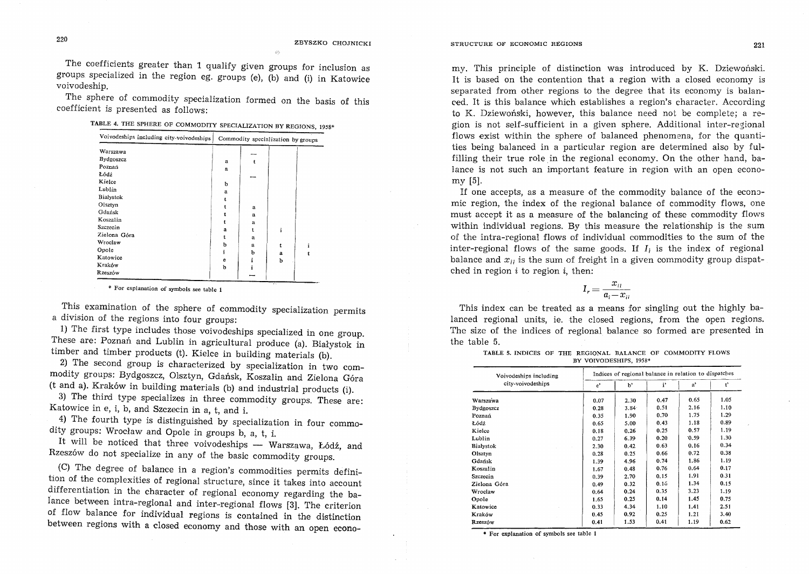$\phi_0$ 

The coefficients greater than 1 qualify given groups for inclusion as groups specialized in the region eg. groups (e),  $\overline{b}$  and (i) in Katowice voivodeship.

The sphere of commodity specialization formed on the basis of this coefficient is presented as follows:

TABLE 4. THE SPHERE OF COMMODITY SPECIALIZATION BY REGIONS, 1958\*

| Voivodeships including city-voivodeships | Commodity specialization by groups |        |   |   |  |  |
|------------------------------------------|------------------------------------|--------|---|---|--|--|
| Warszawa<br>Bydgoszcz<br>Poznań          | a                                  |        |   |   |  |  |
| Łódź                                     | a                                  |        |   |   |  |  |
| Kielce<br>Lublin                         | ь<br>a                             |        |   |   |  |  |
| Białystok<br>Olsztyn                     |                                    |        |   |   |  |  |
| Gdańsk                                   |                                    | a<br>a |   |   |  |  |
| Koszalin<br>Szczecin                     | a                                  | a<br>t | i |   |  |  |
| Zielona Góra<br>Wrocław                  |                                    | a      |   |   |  |  |
| Opole                                    | b                                  | a<br>b | a | 1 |  |  |
| Katowice<br>Kraków                       | e<br>b                             |        | b |   |  |  |
| Rzeszów                                  |                                    |        |   |   |  |  |

\* For explanation of symbols see table 1

This examination of the sphere of commodity specialization permits a division of the regions into four groups:

1) The first type indudes those voivodeships specialized in one group. These are: Poznań and Lublin in agricultural produce (a). Białystok in timber and timber products (t). Kielce in building materials (b).

2) The second group is characterized by specialization in two commodity groups: Bydgoszcz, Olsztyn, Gdańsk, Koszalin and Zielona Góra (t and a). Krak6w in building materials (b) and industrial products (i).

3) The third type specializes in three commodity groups. These are: Katowice in e, i, b, and Szczecin in a, t, and i.

4) The fourth type is distinguished by specialization in four commodity groups: Wroclaw and Opole in groups b, a, t, i.

It will be noticed that three voivodeships - Warszawa, Łódź, and Rzeszów do not specialize in any of the basic commodity groups.

. (C) The degree of balance in a region's commodities permits definition of the complexities of regional structure, since it takes into account differentiation in the character of regional economy regarding the balance between intra-regional and inter-regional flows [3]. The criterion of flow balance for individual regions is contained in the distinction between regions with a closed economy and those with an open econo-

#### STRUCTURE OF ECONOMIC REGIONS 221

my. This principle of distinction was introduced by K. Dziewoński. It is based on the contention that a region with a closed economy is separated from other regions to the degree that its economy is balanced. It is this balance which establishes a region's character. According to K. Dziewoński, however, this balance need not be complete; a region is not self-sufficient in a given sphere. Additional inter-regional flows exist within the sphere of balanced phenomena, for the quantities being balanced in a particular region are determined also by fulfilling their true role in the regional economy. On the other hand, balance is not such an important feature in region with an open economy [5].

If one accepts, as a measure of the commodity balance of the economic region, the index of the regional balance of commodity flows, one must accept it as a measure of the balancing of these commodity flows within individual regions. By this measure the relationship is the sum of the intra-regional flows of individual commodities to the sum of the inter-regional flows of the same goods. If *Ii* is the index of regional balance and  $x_{ii}$  is the sum of freight in a given commodity group dispatched in region  $i$  to region  $i$ , then:

$$
I_r = \frac{x_{ii}}{a_i - x_{ii}}
$$

This index can be treated as a means for singling out the highly balanced regional units, ie. the closed regions, from the open regions. The size of the indices of regional balance so formed are presented in the table 5.

| TABLE 5. INDICES OF THE REGIONAL BALANCE OF COMMODITY FLOWS |  |                        |  |  |
|-------------------------------------------------------------|--|------------------------|--|--|
|                                                             |  | BY VOIVODESHIPS, 1958* |  |  |

| Voivodeships including |       | Indices of regional balance in relation to dispatches |      |      |       |  |  |  |  |  |
|------------------------|-------|-------------------------------------------------------|------|------|-------|--|--|--|--|--|
| city-voivodeships      | $e^*$ | $b^*$                                                 | i'   | a'   | $t^*$ |  |  |  |  |  |
| Warszawa               | 0.07  | 2.30                                                  | 0.47 | 0.65 | 1.05  |  |  |  |  |  |
| <b>Bydgoszcz</b>       | 0.28  | 3.84                                                  | 0.51 | 2.16 | 1.10  |  |  |  |  |  |
| Poznań                 | 0.35  | 1.90                                                  | 0.70 | 1.75 | 1.29  |  |  |  |  |  |
| Łódź                   | 0.65  | 5.00                                                  | 0.43 | 1.18 | 0.89  |  |  |  |  |  |
| Kielce                 | 0.18  | 0.26                                                  | 0.25 | 0.57 | 1.19  |  |  |  |  |  |
| Lublin                 | 0.27  | 6 3 9                                                 | 0.20 | 0.59 | 1.30  |  |  |  |  |  |
| Białystok              | 2.30  | 0.42                                                  | 0.63 | 0.16 | 0.34  |  |  |  |  |  |
| Olsztyn                | 0.28  | 0.25                                                  | 0.66 | 0.72 | 0.38  |  |  |  |  |  |
| Gdańsk                 | 1.39  | 4.96                                                  | 0.74 | 1.86 | 1.19  |  |  |  |  |  |
| Koszalin               | 1.67  | 0.48                                                  | 0.76 | 0.64 | 0.17  |  |  |  |  |  |
| Szczecin               | 0.39  | 2.70                                                  | 0.15 | 1.91 | 0.31  |  |  |  |  |  |
| Zielona Góra           | 0.49  | 0.32                                                  | 0.16 | 1.34 | 0.15  |  |  |  |  |  |
| Wrocław                | 0.64  | 0.24                                                  | 0.35 | 3.23 | 1.19  |  |  |  |  |  |
| Opole                  | 1.65  | 0.25                                                  | 0.14 | 1.45 | 0.75  |  |  |  |  |  |
| Katowice               | 0.33  | 4.34                                                  | 1.10 | 1.41 | 2.51  |  |  |  |  |  |
| Kraków                 | 0.45  | 0.92                                                  | 0.25 | 1.21 | 3.40  |  |  |  |  |  |
| Rzeszów                | 0.41  | 1.53                                                  | 0.41 | 1.19 | 0.62  |  |  |  |  |  |

\* For explanation of symbols see table 1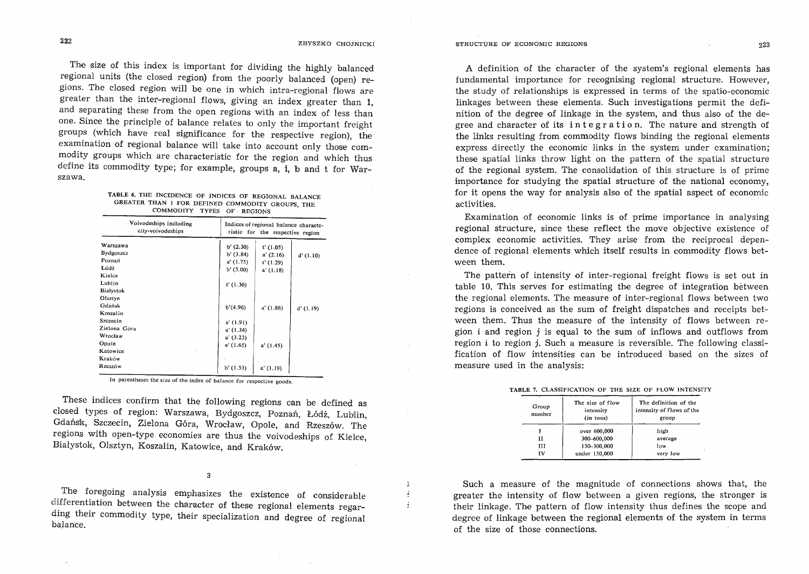$\mathbf{r}$ J. ł

The size of this index is important for dividing the highly balanced regional units (the closed region) from the poorly balanced (open) regions. The closed region will be one in which intra-regional flows are greater than the inter-regional flows, giving an index greater than 1, and separating these from the open regions with an index of less than one. Since the principle of balance relates to only the important freight groups (which have real significance for the respective region), the examination of regional balance will take into account only those commodity groups which are characteristic for the region and which thus define its commodity type; for example, groups a, i, b and t for Warszawa.

| TABLE 6. THE INCIDENCE OF INDICES OF REGIONAL BALANCE |  |  |                            |  |  |  |
|-------------------------------------------------------|--|--|----------------------------|--|--|--|
| GREATER THAN 1 FOR DEFINED COMMODITY GROUPS, THE      |  |  |                            |  |  |  |
|                                                       |  |  | COMMODITY TYPES OF REGIONS |  |  |  |

| Voivodeships including<br>city-voivodeships | Indices of regional balance characte-<br>ristic for the respective region |              |          |  |  |  |
|---------------------------------------------|---------------------------------------------------------------------------|--------------|----------|--|--|--|
| Warszawa                                    | $b'$ (2.30)                                                               | $t'$ (1.05)  |          |  |  |  |
| Bydgoszcz                                   | b'(3.84)                                                                  | $a'$ (2.16). | d'(1.10) |  |  |  |
| Poznań                                      | a'(1.75)                                                                  | t'(1.29)     |          |  |  |  |
| Łódź                                        | b'(5.00)                                                                  | a'(1.18)     |          |  |  |  |
| Kielce                                      |                                                                           |              |          |  |  |  |
| Lublin                                      | $t'$ (1.30)                                                               |              |          |  |  |  |
| <b>Białystok</b>                            |                                                                           |              |          |  |  |  |
| Olsztyn                                     |                                                                           |              |          |  |  |  |
| Gdańsk                                      | b'(4.96)                                                                  | a'(1.86)     | d'(1.19) |  |  |  |
| Koszalin                                    |                                                                           |              |          |  |  |  |
| Szczecin                                    | a'(1.91)                                                                  |              |          |  |  |  |
| Zielona Góra                                | a' (1.34)                                                                 |              |          |  |  |  |
| Wrocław                                     | a'(3.23)                                                                  |              |          |  |  |  |
| Opole                                       | e'(1.65)                                                                  | a'(1.45)     |          |  |  |  |
| Katowice                                    |                                                                           |              |          |  |  |  |
| Kraków                                      |                                                                           |              |          |  |  |  |
| Rzeszów                                     | $b'$ (1.53)                                                               | a' (1.19)    |          |  |  |  |

In parentheses the size of the index of balance for respective goods.

These indices confirm that the following regions can be defined as closed types of region: Warszawa, Bydgoszcz, Poznań, Łódź, Lublin, Gdańsk, Szczecin, Zielona Góra, Wrocław, Opole, and Rzeszów. The regions with open-type economies are thus the voivodeships of Kielce, Bialystok, Olsztyn, Koszalin, Katowice, and Krak6w.

The foregoing analysis emphasizes the existence of considerable differentiation between the character of these regional elements regarding their commodity type, their specialization and degree of regional balance.

A definition of the character of the system's regional elements has fundamental importance for recognising regional structure. However, the study of relationships is expressed in terms of the spatia-economic linkages between these elements. Such investigations permit the definition of the degree of linkage in the system, and thus also of the degree and character of its integration. The nature and strength of the links resulting from commodity flows binding the regional elements express directly the economic links in the system under examination; these spatial links throw light on the pattern of the spatial structure of the regional system. The consolidation of this structure is of prime importance for studying the spatial structure of the national economy, for it opens the way for analysis also of the spatial aspect of economic activities.

Examination of economic links is of prime importance in analysing regional structure, since these reflect the move objective existence of complex economic activities. They arise from the reciprocal dependence of regional elements which itself results in commodity flows between them.

The pattern of intensity of inter-regional freight flows is set out in table 10. This serves for estimating the degree of integration between the regional elements. The measure of inter-regional flows between two regions is conceived as the sum of freight dispatches and receipts between them. Thus the measure of the intensity of flows between region  $i$  and region  $j$  is equal to the sum of inflows and outflows from region *i* to region *j*. Such a measure is reversible. The following classification of flow intensities can be introduced based on the sizes of measure used in the analysis:

| TABLE 7. CLASSIFICATION OF THE SIZE OF FLOW INTENSITY |  |  |  |  |
|-------------------------------------------------------|--|--|--|--|
|                                                       |  |  |  |  |

| Group<br>number | The size of flow<br>intensity<br>(in tons) | The definition of the<br>intensity of flows of the<br>group |  |  |  |  |
|-----------------|--------------------------------------------|-------------------------------------------------------------|--|--|--|--|
|                 | over 600,000                               | high                                                        |  |  |  |  |
| п               | 300-600,000                                | average                                                     |  |  |  |  |
| ш               | 150-300,000                                | low                                                         |  |  |  |  |
| TV              | under 150,000                              | very low                                                    |  |  |  |  |

Such a measure of the magnitude of connections shows that, the greater the intensity of flow between a given regions, the stronger is their linkage. The pattern of flow intensity thus defines the scope and degree of linkage between the regional elements of the system in terms of the size of those connections.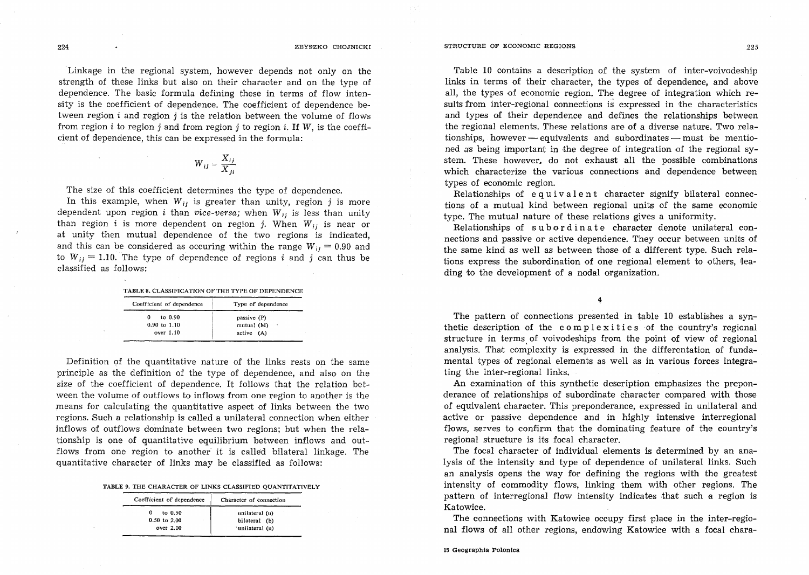## 224 ZBYS'ZKO CHOJNICKI

Linkage in the regional system, however depends not only on the strength of these links but also on their character and on the type of dependence. The basic formula defining these in terms of flow intensity is the coefficient of dependence. The coefficient of dependence between region  $i$  and region  $j$  is the relation between the volume of flows from region  $i$  to region  $j$  and from region  $j$  to region  $i$ . If W, is the coefficient of dependence, this can be expressed in the formula:

$$
W_{ij} = \frac{X_{ij}}{X_{ii}}
$$

The size of this coefficient determines the type of dependence.

In this example, when  $W_{ij}$  is greater than unity, region j is more dependent upon region *i* than *vice-versa*; when  $W_{ij}$  is less than unity than region *i* is more dependent on region *j*. When  $W_{ij}$  is near or at unity then mutual dependence of the two regions is indicated, and this can be considered as occuring within the range  $W_{ii} = 0.90$  and to  $W_{ii} = 1.10$ . The type of dependence of regions i and j can thus be classified as follows:

| Coefficient of dependence | Type of dependence   |
|---------------------------|----------------------|
| to 0.90                   | passive (P)          |
| 0                         | mutual (M)           |
| $0.90$ to $1.10$          | $\ddot{\phantom{0}}$ |
| over $1.10$               | active (A)           |

Definition of the quantitative nature of the links rests on the same principle as the definition of the type of dependence, and also on the size of the coefficient of dependence. It follows that the relation between the volume of outflows to inflows from one region to another is the means for calculating the quantitative aspect of links between the two regions. Such a relationship is called a unilateral connection when either inflows of outflows dominate between two regions; but when the relationship is one of quantitative equilibrium between inflows and outflows from one region to another it is called bilateral linkage. The quantitative character of links may be classified as follows:

#### TABLE 9. THE CHARACTER OF LINKS CLASSIFIED QUANTITATIVELY

| Coefficient of dependence                       | Character of connection                            |
|-------------------------------------------------|----------------------------------------------------|
| to $0.50$<br>0<br>$0.50$ to $2.00$<br>over 2.00 | unilateral (u)<br>bilateral (b)<br>'unilateral (u) |

Table 10 contains a description of the system of inter-voivodeship links in terms of their eharacter, the types of dependence, and above all, the types of eeonomic region. The degree of integration which results from inter-regional connections is expressed in rthe characteristics and types of their dependence and defines the relationships between the regional elements. These relations are of a diverse nature. Two relationships, however - equivalents and subordinates - must be mentioned as being important in the degree of integration of the regional system. These however, do not exhaust all the possible combinations which characterize the various connections and dependence between types of economic region.

Relationships of equivalent character signify bilateral connections of a mutual kind between regional units of the same economic type. The mutual nature of these relations gives a uniformity.

Relationships of subordinate character denote unilateral connections and passive or active dependence. They occur between units of the same kind as well as between those of a different type. Such relations express the subordination of one regional element to others, leading to the development of a nodal organization.

4

The pattern of connections presented in table 10 establishes a synthetic description of the complexities of the country's regional structure in terms of voivodeships from the point of view of regional analysis. That complexity is expressed in the differentation of fundamental types of regional elements as well as in various forces integrating the inter-regional links.

An examination of this synthetic description emphasizes the preponderance of relationships of subordinate character compared with those of equivalent character. This preponderance, expressed in unilateral and active or passive dependence and in highly intensive interregional flows, serves to confirm that the dominating feature of the country's regional structure is its focal character.

The focal character of individual elements is determined by an analysis of the intensity and type of dependence of unilateral links. Such an analysis opens the way for defining the regions with the greatest intensity of commodity flows, linking them with other regions. The pattern of interregional flow intensity indicates that such a region is Katowice.

The connections with Katowice occupy first place in the inter-regional flows of all other regions, endowing Katowice with a focal chara-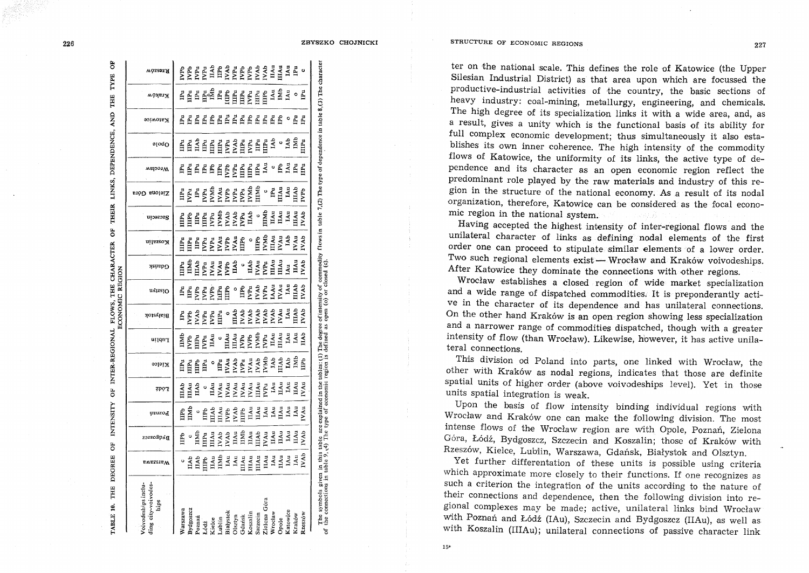| ABLE 10. THE DEGREE                                                                                                                                                                                                              |                 | 5                                    | <b>INTENSITY</b> |            | OF INTER-REGIONAL FLOWS, THE CHARACTER |              |             | ECONOMIC REGION |                      | ö            | THEIR          |                  | LINKS, DEPENDENCE, AND |                                |                            | THE                          | 5<br>TYPE                                                     |
|----------------------------------------------------------------------------------------------------------------------------------------------------------------------------------------------------------------------------------|-----------------|--------------------------------------|------------------|------------|----------------------------------------|--------------|-------------|-----------------|----------------------|--------------|----------------|------------------|------------------------|--------------------------------|----------------------------|------------------------------|---------------------------------------------------------------|
| oivodeships inclu-<br>ing city-voivodes<br>hips                                                                                                                                                                                  | <b>EWASSIEW</b> | Bydgoszcz                            | <b>Poznan</b>    | 7PO I      | Kielce                                 | uildu I      | Białystok   | nyissiO         | Gqansk               | ui1szso X    | utoazozg       | Zielona Góra     | меролм                 | opole                          | Katowice                   | моявтя                       | wòsasa                                                        |
| Varszawa                                                                                                                                                                                                                         |                 | IIPb                                 | Ê                | ПAb        | Ë                                      | Ĕ            | Ē           | Ē               | Ë                    | Ë            | Ê              | Ê                |                        |                                |                            | IPu                          | Ê                                                             |
| <b>lydgoszcz</b>                                                                                                                                                                                                                 | IIAb            |                                      | EMI              | <b>HAu</b> | Ĕ                                      | ÇБр          | ſУP         | Ē               | Ĕ                    | Ē            | Ë              | ğ                | <u>គ្គី ម្</u>         | <b>EEZE</b>                    | <b>A A A A A A A A A A</b> | Ē                            |                                                               |
| oznań                                                                                                                                                                                                                            | <b>IIAb</b>     | IIMP                                 |                  | ПАЬ        | Ê                                      | Ē            | <b>EXVI</b> |                 | Ĕ                    | Ë            | Ê              | Ê                |                        |                                |                            |                              |                                                               |
| .6dż                                                                                                                                                                                                                             | ПТРЬ            | <b>IIIPu</b>                         | Ê                | $\circ$    | Ē                                      | ∫<br>Eu      | IVPu        | PP <sub>u</sub> | g                    | i<br>VPu     | Ê              | IVPu             | Ē                      |                                |                            | 모토                           | <b>NPa</b><br>NPa<br>IMP<br>IMPA<br>IMPA<br>NPA<br>NPA<br>NPA |
| Cielce                                                                                                                                                                                                                           | IIAu            | <b>IIIAu</b>                         | İÄ               | ПÀи        |                                        | ЦÅц          | IVPu        | ęk              | IVAu                 | IVPu         | Pu<br>2        | ľМЛ              | Ê                      |                                |                            |                              |                                                               |
| ablin                                                                                                                                                                                                                            | imi             | <b>IVAb</b>                          | HÀu              | IVAu       | Ë                                      |              | E           | Ë               | IVAu                 | IVAu         | IМИ            | IVAu             | E                      |                                |                            | $\mathbf{H}$                 |                                                               |
| iiałystok                                                                                                                                                                                                                        |                 | <b>IVAb</b>                          | ĺРb              | IVAu       |                                        | а<br>Н       | $\circ$     | Ê               | Ê                    | IVPb<br>IVAu | IVAb<br>IVAb   | IVPb             | IVPb                   |                                |                            | Ê                            |                                                               |
| lisztyn                                                                                                                                                                                                                          | IAu<br>IAu      | <b>IIAu</b>                          | UAb<br>C         | IVAu       | IVAu<br>IVAb                           | III Au       | Ē           |                 | É                    |              |                | IVP <sub>u</sub> | Pu                     |                                |                            | Ē                            |                                                               |
| <b>J</b> darisk                                                                                                                                                                                                                  | <b>IIIAu</b>    | IIMb                                 | Ë                | IVAu       | IVP <sub>u</sub>                       | <b>EVPu</b>  | IVAb        | Ê               | 9                    | IIIPb        | <b>CYPu</b>    | IVP <sub>u</sub> | ШPи                    |                                |                            | E<br>Pu<br>VPu               |                                                               |
| Loszalin                                                                                                                                                                                                                         | <b>IIIAu</b>    | ПАц                                  | ПÁц              | IVAu       | <b>IVAu</b>                            | ГVPb         | IVAb        | Ĕ               | IIAb                 | $\circ$      | IIAb           | IVMb             | E                      | ELE EXELECTI<br>ELE EXELECTION |                            |                              |                                                               |
| zczecin                                                                                                                                                                                                                          | $III$ Au        | IIIAb                                | IIAu             | $III$ Áu   | <b>IVAb</b>                            | <b>IVMb</b>  | IVAb        | Ń               | IVAu                 | <b>UTPb</b>  | $\overline{a}$ | TIMI             | Ē                      |                                | $\mathbf{P}$ u             | $E_{\rm u}$                  | IVAI<br>IVAI                                                  |
| Telona Góra                                                                                                                                                                                                                      | IIAu            | IVAu                                 | IAu              | IVPu       | <b>IVMb</b>                            | Ë            | <b>IVAb</b> | IVPu            | È                    | IVMb         | Ě              | $\circ$          | IÅu                    | Ē                              | $\mathbf{H}$               | Ê                            |                                                               |
| Vrocław                                                                                                                                                                                                                          | IAu             | $\mathbf{I}$ Au                      | IAu              | IAu        | IAb                                    | ПAц          | IVAb        | <b>IAAu</b>     | $\tilde{\mathbf{H}}$ | IIIAu        | Ĕ              | IPu              | $\circ$                | Åb                             | Ē                          | IAu                          | $II$ Au                                                       |
| <b>Opole</b>                                                                                                                                                                                                                     | IIAu            | $\mathbf{I}^{\mathbf{A} \mathbf{u}}$ | ЦÅц              | IIAu       | $\overline{\text{II}}$ Ab              | $\mathbf{H}$ | IVAu        | IVAu            | $\tilde{\mathbf{H}}$ | IVAu         | ЦÅц            | u<br>Au          | Ê                      | o                              | È                          | IMb                          | ШÅЦ                                                           |
| atowice                                                                                                                                                                                                                          | IAu             | IAu                                  | ΙAυ              | IAu        | IAb                                    | IÅu          | $\tilde{A}$ | LÅu             | $\mathbf{A}$ u       | 1Ab          | IÀu            | IÀu              | ΙÅυ                    | IAb                            | $\circ$                    | LAu                          | IAu                                                           |
| Kraków                                                                                                                                                                                                                           | IAu             | ЦÅЦ                                  | IAu              | IIAu       | İMI                                    | 1Au          | IIAb        | ШAb             | IIAu                 | IVAu         | <b>IIIAu</b>   | $\mathbf{H}$     | g                      | IMb                            | Ēu                         |                              | Ēu                                                            |
| tzeszów                                                                                                                                                                                                                          | <b>IVAb</b>     | <b>IVAb</b>                          | IVAu             | r Au       | Ê                                      | <b>TAb</b>   | <b>IVAb</b> | <b>IVAb</b>     | IVAb                 | <b>IVAb</b>  | <b>IVAb</b>    | <b>IVPb</b>      | E                      | <b>IIIPu</b>                   | Ē                          | $\circ$ $\mathbf{\tilde{E}}$ |                                                               |
| The symbols given in this table are explained in the tables: (1) The degree of intensity of commodity flows in table 7,(2) The type of dependence in table 8,(3) The character<br>of the connections in table 9, (4) The type of |                 |                                      |                  |            |                                        |              |             |                 |                      |              |                |                  |                        |                                |                            |                              |                                                               |
|                                                                                                                                                                                                                                  |                 |                                      |                  |            |                                        |              |             |                 |                      |              |                |                  |                        |                                |                            |                              |                                                               |

 $226$ ZBYSZKO CHOJNICKI

> ter on the national scale. This defines the role of Katowice (the Upper Silesian Industrial District) as that area upon which are focussed the productive-industrial activities of the country, the basic sections of heavy industry: coal-mining, metallurgy, engineering, and chemicals. The high degree of its specialization links it with a wide area, and, as a result, gives a unity which is the functional basis of its ability for full complex economic development; thus simultaneously it also establishes its own inner coherence. The high intensity of the commodity flows of Katowice, the uniformity of its links, the active type of dependence and its character as an open economic region reflect the predominant role played by the raw materials and industry of this region in the structure of the national economy. As a result of its nodal

> Having accepted the highest intensity of inter-regional flows and the unilateral character of links as defining nodal elements of the first order one can proceed to stipulate similar elements of a lower order. Two such regional elements exist- Wrocław and Kraków voivodeships. After Katowice they dominate the connections with other regions.

> organization, therefore, Katowice can be considered as the focal econo-

mic region in the national system.

Wrocław establishes a closed region of wide market specialization and a wide range of dispatched commodities, It is preponderantly active in the character of its dependence and has unilateral connections. On the other hand Krak6w is an open region showing less specialization and a narrower range of commodities dispatched, though with a greater intensity of flow (than Wrocław). Likewise, however, it has active unilateral connections.

This division od Poland into parts, one linked with Wroclaw, the other with Kraków as nodal regions, indicates that those are definite spatial units of higher order (above voivodeships level). Yet in those units spatial integration is weak.

Upon the basis of flow intensity binding individual regions with Wrocław and Kraków one can make the following division. The most intense flows of the Wrodaw region are with Opole, Poznan, Zielona Góra, Łódź, Bydgoszcz, Szczecin and Koszalin; those of Kraków with Rzesz6w, Kielce, Lublin, Warszawa, Gdansk, Bialystok and Olsztyn.

Yet further differentation of these units is possible using criteria which approximate more closely to their functions. If one recognizes as such a criterion the integration of the units according to the nature of their connections and dependence, then the following division into regional complexes may be made; active, unilateral links bind Wroclaw with Poznań and Łódź (IAu), Szczecin and Bydgoszcz (IIAu), as well as with Koszalin (IIIAu); unilateral connections of passive character link

STRUCTURE OF ECONOMIC REGIONS 227

15\*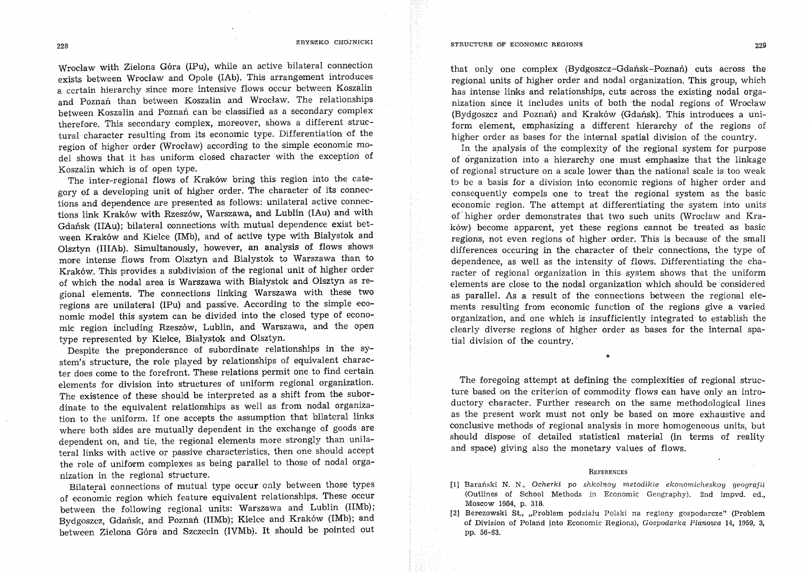Wrocław with Zielona Góra (IPu), while an active bilateral connection exists between Wroclaw and Opole (lAb). This arrangement introduces a certain hierarchy since more intensive flows occur between Koszalin and Poznań than between Koszalin and Wrocław. The relationships between Koszalin and Poznań can be classified as a secondary complex therefore. This secondary complex, moreover, shows a different structural character resulting from its economic type. Differentiation of the region of higher order (Wrocław) according to the simple economic model shows that it has uniform dosed character with the exception of Koszalin which is of open type.

The inter-regional flows of Kraków bring this region into the category of a developing unit of higher order. The character of its connections and dependence are presented as follows: unilateral active connections link Kraków with Rzeszów, Warszawa, and Lublin (IAu) and with Gdańsk (IIAu); bilateral connections with mutual dependence exist between Kraków and Kielce (IMb), and of active type with Białystok and Olsztyn (IIIAb). Simultanously, however, an analysis of flows shows more intense flows from Olsztyn and Białystok to Warszawa than to Kraków. This provides a subdivision of the regional unit of higher order of which the nodal area is Warszawa with Białystok and Olsztyn as regional elements. The connections linking Warszawa with these two regions are unilateral (IPu) and passive. According to the simple economic model this system can be divided into the closed type of economic region including Rzesz6w, Lublin, and Warszawa, and the open type represented by Kielce, Białystok and Olsztyn.

Despite the preponderance of subordinate relationships in the system's structure, the role played by relationships of equivalent character does come to the forefront. These relations permit one to find certain elements for division into structures of uniform regional organization. The existence of these should be interpreted as a shift from the subordinate to the equivalent relationships as well as from nodal organization to the uniform. If one accepts the assumption that bilateral links where both sides are mutually dependent in the exchange of goods are dependent on, and tie, the regional elements more strongly than unilateral links with active or passive characteristics, then one should accept the role of uniform complexes as being parallel to those of nodal organization in the regional structure.

Bilateral connections of mutual type occur only between those types of economic region which feature equivalent relationships. These occur between the following regional units: Warszawa and Lublin (liMb); Bydgoszcz, Gdańsk, and Poznań (IIMb); Kielce and Kraków (IMb); and between Zielona Góra and Szczecin (IVMb). It should be pointed out that only one complex (Bydgoszcz-Gdańsk-Poznań) cuts across the regional units of higher order and nodal organization. This group, which has intense links and relationships, cuts across the existing nodal organization since it includes units of both the nodal regions of Wroclaw (Bydgoszcz and Poznań) and Kraków (Gdańsk). This introduces a uniform element, emphasizing a different hierarchy of the regions of higher order as bases for the internal spatial division of the country.

In the analysis of the complexity of the regional system for purpose of organization into a hierarchy one must emphasize that the linkage of regional structure on a scale lower than the nationa'l scale is too weak to be a basis for a division into economic regions of higher order and consequently compels one to treat the regional system as the basic economic region. The attempt at differentiating the system into units of higher order demonstrates that two such units (Wroclaw and Krak6w) become apparent, yet these regions cannot be treated as basic regions, not even regions of higher order. This is because of the small differences occuring in the character of their connections, the type of dependence, as well as the intensity of flows. Differentiating the character of regional organization in this system shows that the uniform elements are close to the nodal organization which should be considered as parallel. As a result of the connections between the regional elements resulting from economic function of the regions give a varied organization, and one which is insufficiently integrated to establish the clearly diverse regions of higher order as bases for the internal spatial division of the country.

The foregoing attempt at defining the complexities of regional structure based on the criterion of commodity flows can have only an introductory character. Further research on the same methodological lines as the present work must not only be based on more exhaustive and conclusive methods of regional analysis in more homogeneous units, but should dispose of detailed statistical material (in terms of reality and space) giving also the monetary values of flows.

\*

#### **REFERENCES**

[1] Barański N. N., Ocherki po shkolnoy metodikie ekonomicheskoy geografii (Outiines of School Methods in Economic Geography). 2nd impvd. ed., Moscow 1954, p. 318.

f2] ·Berezowski St., ,,Problem podzialu Polski na regiony gospodarcze" (Problem of Division of Poland into Economic Regions), Gospodarka Planowa 14, 1959, 3, pp. 56-63.